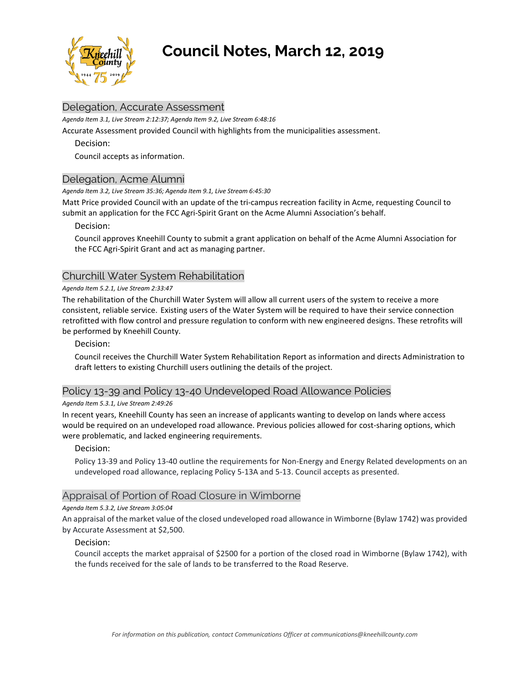

# **Council Notes, March 12, 2019**

## Delegation, Accurate Assessment

*Agenda Item 3.1, Live Stream 2:12:37; Agenda Item 9.2, Live Stream 6:48:16*

Accurate Assessment provided Council with highlights from the municipalities assessment.

Decision:

Council accepts as information.

## Delegation, Acme Alumni

*Agenda Item 3.2, Live Stream 35:36; Agenda Item 9.1, Live Stream 6:45:30*

Matt Price provided Council with an update of the tri-campus recreation facility in Acme, requesting Council to submit an application for the FCC Agri-Spirit Grant on the Acme Alumni Association's behalf.

#### Decision:

Council approves Kneehill County to submit a grant application on behalf of the Acme Alumni Association for the FCC Agri-Spirit Grant and act as managing partner.

## Churchill Water System Rehabilitation

#### *Agenda Item 5.2.1, Live Stream 2:33:47*

The rehabilitation of the Churchill Water System will allow all current users of the system to receive a more consistent, reliable service. Existing users of the Water System will be required to have their service connection retrofitted with flow control and pressure regulation to conform with new engineered designs. These retrofits will be performed by Kneehill County.

## Decision:

Council receives the Churchill Water System Rehabilitation Report as information and directs Administration to draft letters to existing Churchill users outlining the details of the project.

## Policy 13-39 and Policy 13-40 Undeveloped Road Allowance Policies

#### *Agenda Item 5.3.1, Live Stream 2:49:26*

In recent years, Kneehill County has seen an increase of applicants wanting to develop on lands where access would be required on an undeveloped road allowance. Previous policies allowed for cost-sharing options, which were problematic, and lacked engineering requirements.

#### Decision:

Policy 13-39 and Policy 13-40 outline the requirements for Non-Energy and Energy Related developments on an undeveloped road allowance, replacing Policy 5-13A and 5-13. Council accepts as presented.

## Appraisal of Portion of Road Closure in Wimborne

#### *Agenda Item 5.3.2, Live Stream 3:05:04*

An appraisal of the market value of the closed undeveloped road allowance in Wimborne (Bylaw 1742) was provided by Accurate Assessment at \$2,500.

#### Decision:

Council accepts the market appraisal of \$2500 for a portion of the closed road in Wimborne (Bylaw 1742), with the funds received for the sale of lands to be transferred to the Road Reserve.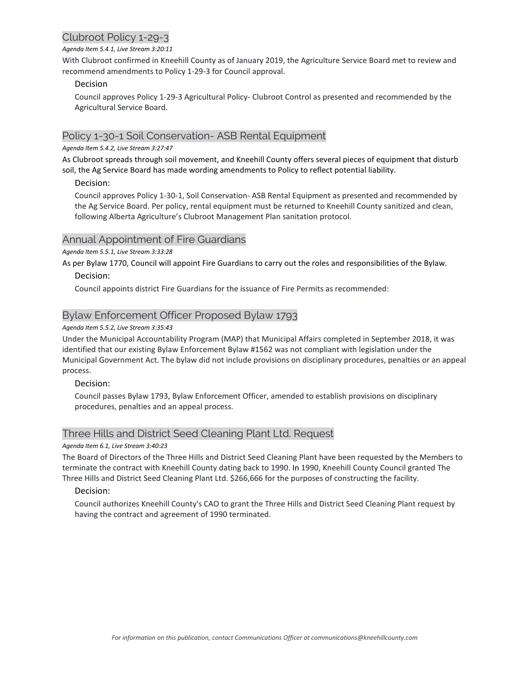# Clubroot Policy 1-29-3

#### *Agenda Item 5.4.1, Live Stream 3:20:11*

With Clubroot confirmed in Kneehill County as of January 2019, the Agriculture Service Board met to review and recommend amendments to Policy 1-29-3 for Council approval.

## Decision

Council approves Policy 1-29-3 Agricultural Policy- Clubroot Control as presented and recommended by the Agricultural Service Board.

## Policy 1-30-1 Soil Conservation- ASB Rental Equipment

## *Agenda Item 5.4.2, Live Stream 3:27:47*

As Clubroot spreads through soil movement, and Kneehill County offers several pieces of equipment that disturb soil, the Ag Service Board has made wording amendments to Policy to reflect potential liability.

## Decision:

Council approves Policy 1-30-1, Soil Conservation- ASB Rental Equipment as presented and recommended by the Ag Service Board. Per policy, rental equipment must be returned to Kneehill County sanitized and clean, following Alberta Agriculture's Clubroot Management Plan sanitation protocol.

## Annual Appointment of Fire Guardians

*Agenda Item 5.5.1, Live Stream 3:33:28*

As per Bylaw 1770, Council will appoint Fire Guardians to carry out the roles and responsibilities of the Bylaw.

## Decision:

Council appoints district Fire Guardians for the issuance of Fire Permits as recommended:

## Bylaw Enforcement Officer Proposed Bylaw 1793

## *Agenda Item 5.5.2, Live Stream 3:35:43*

Under the Municipal Accountability Program (MAP) that Municipal Affairs completed in September 2018, it was identified that our existing Bylaw Enforcement Bylaw #1562 was not compliant with legislation under the Municipal Government Act. The bylaw did not include provisions on disciplinary procedures, penalties or an appeal process.

## Decision:

Council passes Bylaw 1793, Bylaw Enforcement Officer, amended to establish provisions on disciplinary procedures, penalties and an appeal process.

## Three Hills and District Seed Cleaning Plant Ltd. Request

#### *Agenda Item 6.1, Live Stream 3:40:23*

The Board of Directors of the Three Hills and District Seed Cleaning Plant have been requested by the Members to terminate the contract with Kneehill County dating back to 1990. In 1990, Kneehill County Council granted The Three Hills and District Seed Cleaning Plant Ltd. \$266,666 for the purposes of constructing the facility.

## Decision:

Council authorizes Kneehill County's CAO to grant the Three Hills and District Seed Cleaning Plant request by having the contract and agreement of 1990 terminated.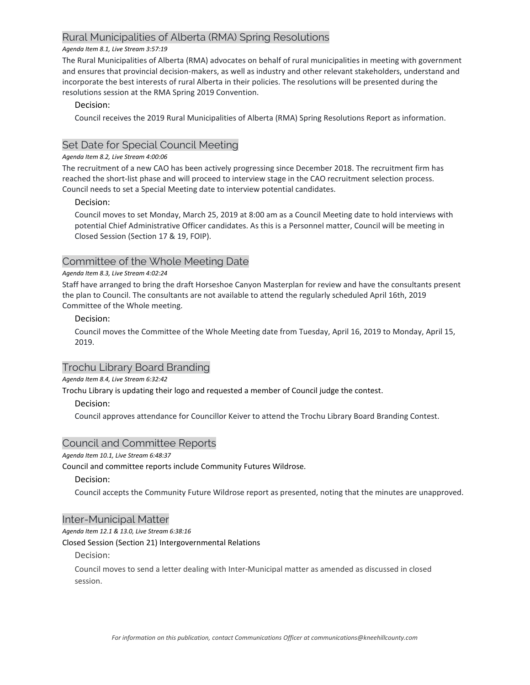## Rural Municipalities of Alberta (RMA) Spring Resolutions

#### *Agenda Item 8.1, Live Stream 3:57:19*

The Rural Municipalities of Alberta (RMA) advocates on behalf of rural municipalities in meeting with government and ensures that provincial decision-makers, as well as industry and other relevant stakeholders, understand and incorporate the best interests of rural Alberta in their policies. The resolutions will be presented during the resolutions session at the RMA Spring 2019 Convention.

## Decision:

Council receives the 2019 Rural Municipalities of Alberta (RMA) Spring Resolutions Report as information.

## Set Date for Special Council Meeting

## *Agenda Item 8.2, Live Stream 4:00:06*

The recruitment of a new CAO has been actively progressing since December 2018. The recruitment firm has reached the short-list phase and will proceed to interview stage in the CAO recruitment selection process. Council needs to set a Special Meeting date to interview potential candidates.

## Decision:

Council moves to set Monday, March 25, 2019 at 8:00 am as a Council Meeting date to hold interviews with potential Chief Administrative Officer candidates. As this is a Personnel matter, Council will be meeting in Closed Session (Section 17 & 19, FOIP).

## Committee of the Whole Meeting Date

#### *Agenda Item 8.3, Live Stream 4:02:24*

Staff have arranged to bring the draft Horseshoe Canyon Masterplan for review and have the consultants present the plan to Council. The consultants are not available to attend the regularly scheduled April 16th, 2019 Committee of the Whole meeting.

## Decision:

Council moves the Committee of the Whole Meeting date from Tuesday, April 16, 2019 to Monday, April 15, 2019.

## Trochu Library Board Branding

*Agenda Item 8.4, Live Stream 6:32:42*

Trochu Library is updating their logo and requested a member of Council judge the contest.

## Decision:

Council approves attendance for Councillor Keiver to attend the Trochu Library Board Branding Contest.

## Council and Committee Reports

#### *Agenda Item 10.1, Live Stream 6:48:37*

Council and committee reports include Community Futures Wildrose.

#### Decision:

Council accepts the Community Future Wildrose report as presented, noting that the minutes are unapproved.

#### Inter-Municipal Matter

*Agenda Item 12.1 & 13.0, Live Stream 6:38:16*

#### Closed Session (Section 21) Intergovernmental Relations

## Decision:

Council moves to send a letter dealing with Inter-Municipal matter as amended as discussed in closed session.